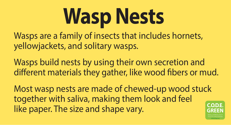Wasps are a family of insects that includes hornets, yellowjackets, and solitary wasps.

Wasps build nests by using their own secretion and different materials they gather, like wood fibers or mud.

Most wasp nests are made of chewed-up wood stuck together with saliva, making them look and feel like paper. The size and shape vary.



# **Wasp Nests**

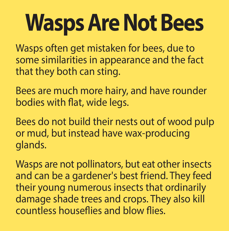## **Wasps Are Not Bees**

Wasps often get mistaken for bees, due to some similarities in appearance and the fact that they both can sting.

Bees are much more hairy, and have rounder bodies with flat, wide legs.

Bees do not build their nests out of wood pulp or mud, but instead have wax-producing glands.

Wasps are not pollinators, but eat other insects and can be a gardener's best friend. They feed their young numerous insects that ordinarily damage shade trees and crops. They also kill countless houseflies and blow flies.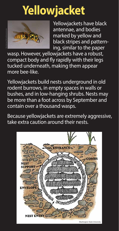Yellowjackets have black antennae, and bodies marked by yellow and black stripes and patterning, similar to the paper

wasp. However, yellowjackets have a robust, compact body and fly rapidly with their legs tucked underneath, making them appear more bee-like.

Yellowjackets build nests underground in old rodent burrows, in empty spaces in walls or bushes, and in low-hanging shrubs. Nests may be more than a foot across by September and contain over a thousand wasps.

Because yellowjackets are extremely aggressive, take extra caution around their nests.

# **Yellowjacket**



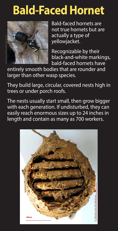## **Bald-Faced Hornet**



Bald-faced hornets are not true hornets but are actually a type of yellowjacket.

Recognizable by their black-and-white markings, bald-faced hornets have

entirely smooth bodies that are rounder and larger than other wasp species.

They build large, circular, covered nests high in trees or under porch roofs.

The nests usually start small, then grow bigger with each generation. If undisturbed, they can easily reach enormous sizes up to 24 inches in length and contain as many as 700 workers.

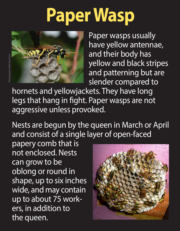## **Paper Wasp**



Paper wasps usually have yellow antennae, and their body has yellow and black stripes and patterning but are slender compared to

hornets and yellowjackets. They have long legs that hang in fight. Paper wasps are not aggressive unless provoked.

Nests are begun by the queen in March or April and consist of a single layer of open-faced

papery comb that is not enclosed. Nests can grow to be oblong or round in shape, up to six inches wide, and may contain up to about 75 workers, in addition to the queen.